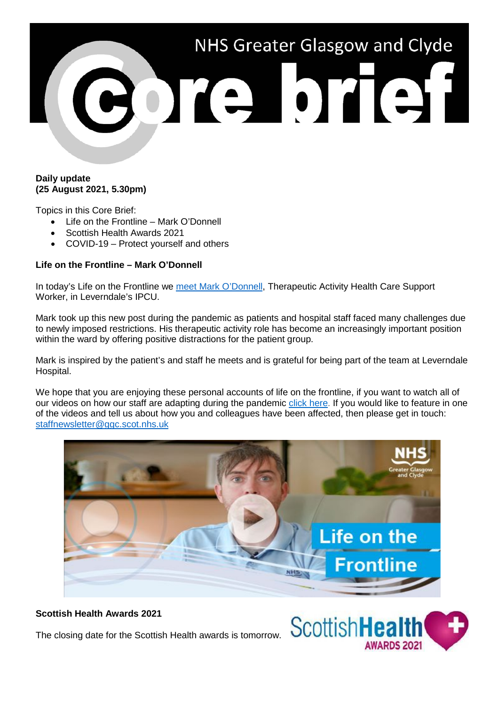

### **Daily update (25 August 2021, 5.30pm)**

Topics in this Core Brief:

- Life on the Frontline Mark O'Donnell
- Scottish Health Awards 2021
- COVID-19 Protect yourself and others

## **Life on the Frontline – Mark O'Donnell**

In today's Life on the Frontline we [meet Mark O'Donnell,](https://youtu.be/WgZaynsk2PU) Therapeutic Activity Health Care Support Worker, in Leverndale's IPCU.

Mark took up this new post during the pandemic as patients and hospital staff faced many challenges due to newly imposed restrictions. His therapeutic activity role has become an increasingly important position within the ward by offering positive distractions for the patient group.

Mark is inspired by the patient's and staff he meets and is grateful for being part of the team at Leverndale Hospital.

We hope that you are enjoying these personal accounts of life on the frontline, if you want to watch all of our videos on how our staff are adapting during the pandemic [click here.](https://www.nhsggc.org.uk/your-health/health-issues/covid-19-coronavirus/life-on-the-frontline/) If you would like to feature in one of the videos and tell us about how you and colleagues have been affected, then please get in touch: [staffnewsletter@ggc.scot.nhs.uk](mailto:staffnewsletter@ggc.scot.nhs.uk)



### **Scottish Health Awards 2021**

The closing date for the Scottish Health awards is tomorrow.